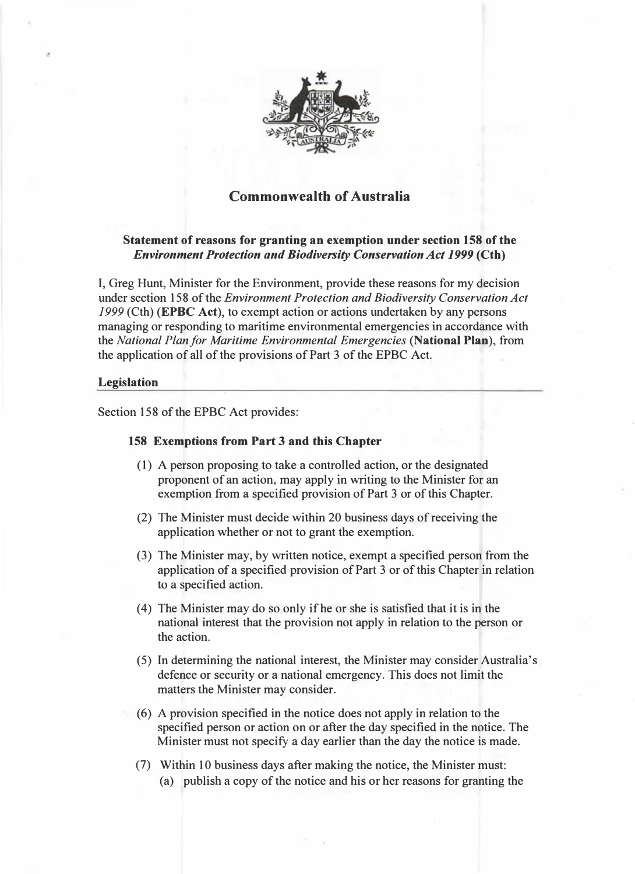

# Commonwealth of Australia

## Statement of reasons for granting an exemption under section 158 of the Environment Protection and Biodiversity Conservation Act 1999 (Cth)

I, Greg Hunt, Minister for the Environment, provide these reasons for my decision under section 158 of the Environment Protection and Biodiversity Conservation Act 1999 (Cth) (EPBC Act), to exempt action or actions undertaken by any persons managing or responding to maritime environmental emergencies in accordance with the National Plan for Maritime Environmental Emergencies (National Plan), from the application of all of the provisions of Part 3 of the EPBC Act.

#### Legislation

Section 158 of the EPBC Act provides:

### 158 Exemptions from Part 3 and this Chapter

- (1) A person proposing to take a controlled action, or the designated proponent of an action, may apply in writing to the Minister for an exemption from a specified provision of Part 3 or of this Chapter.
- (2) The Minister must decide within 20 business days of receiving the application whether or not to grant the exemption.
- (3) The Minister may, by written notice, exempt a specified person from the application of a specified provision of Part 3 or of this Chapter in relation to a specified action.
- (4) The Minister may do so only if he or she is satisfied that it is in the national interest that the provision not apply in relation to the person or the action.
- (5) In determining the national interest, the Minister may consider Australia's defence or security or a national emergency. This does not limit the matters the Minister may consider.
- (6) A provision specified in the notice does not apply in relation to the specified person or action on or after the day specified in the notice. The Minister must not specify a day earlier than the day the notice is made.
- (7) Within 10 business days after making the notice, the Minister must: (a) publish a copy of the notice and his or her reasons for granting the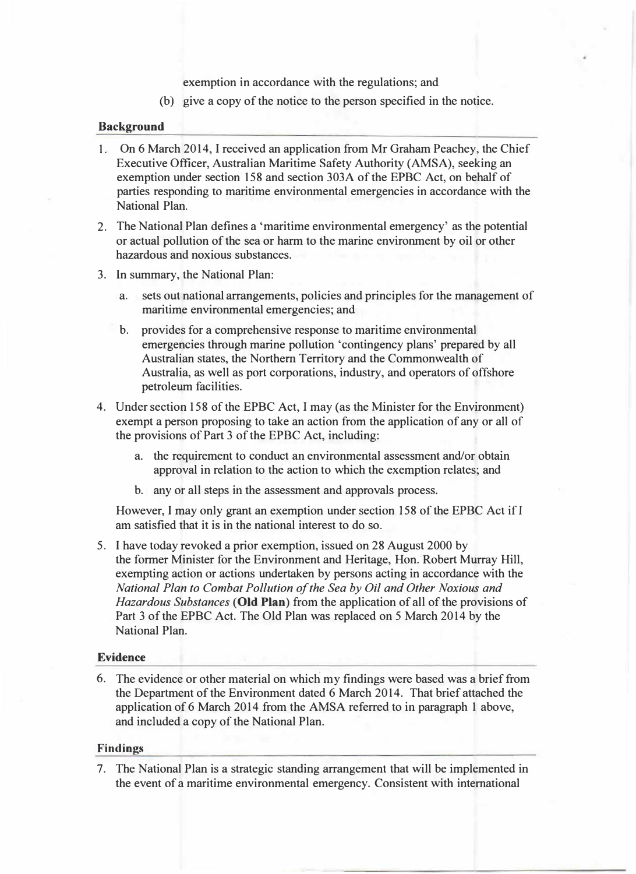exemption in accordance with the regulations; and

(b) give a copy of the notice to the person specified in the notice.

#### Background

- 1. On 6 March 2014, I received an application from Mr Graham Peachey, the Chief Executive Officer, Australian Maritime Safety Authority (AMSA), seeking an exemption under section 158 and section 303A of the EPBC Act, on behalf of parties responding to maritime environmental emergencies in accordance with the National Plan.
- 2. The National Plan defines a 'maritime environmental emergency' as the potential or actual pollution of the sea or harm to the marine environment by oil or other hazardous and noxious substances.
- 3. In summary, the National Plan:
	- a. sets out national arrangements, policies and principles for the management of maritime environmental emergencies; and
	- b. provides for a comprehensive response to maritime environmental emergencies through marine pollution 'contingency plans' prepared by all Australian states, the Northern Territory and the Commonwealth of Australia, as well as port corporations, industry, and operators of offshore petroleum facilities.
- 4. Under section 158 of the EPBC Act, I may (as the Minister for the Environment) exempt a person proposing to take an action from the application of any or all of the provisions of Part 3 of the EPBC Act, including:
	- a. the requirement to conduct an environmental assessment and/or obtain approval in relation to the action to which the exemption relates; and
	- b. any or all steps in the assessment and approvals process.

However, I may only grant an exemption under section 158 of the EPBC Act ifl am satisfied that it is in the national interest to do so.

5. I have today revoked a prior exemption, issued on 28 August 2000 by the former Minister for the Environment and Heritage, Hon. Robert Murray Hill, exempting action or actions undertaken by persons acting in accordance with the National Plan to Combat Pollution of the Sea by Oil and Other Noxious and Hazardous Substances (Old Plan) from the application of all of the provisions of Part 3 of the EPBC Act. The Old Plan was replaced on 5 March 2014 by the National Plan.

## Evidence

6. The evidence or other material on which my findings were based was a brief from the Department of the Environment dated 6 March 2014. That brief attached the application of 6 March 2014 from the AMSA referred to in paragraph 1 above, and included a copy of the National Plan.

### Findings

7. The National Plan is a strategic standing arrangement that will be implemented in the event of a maritime environmental emergency. Consistent with international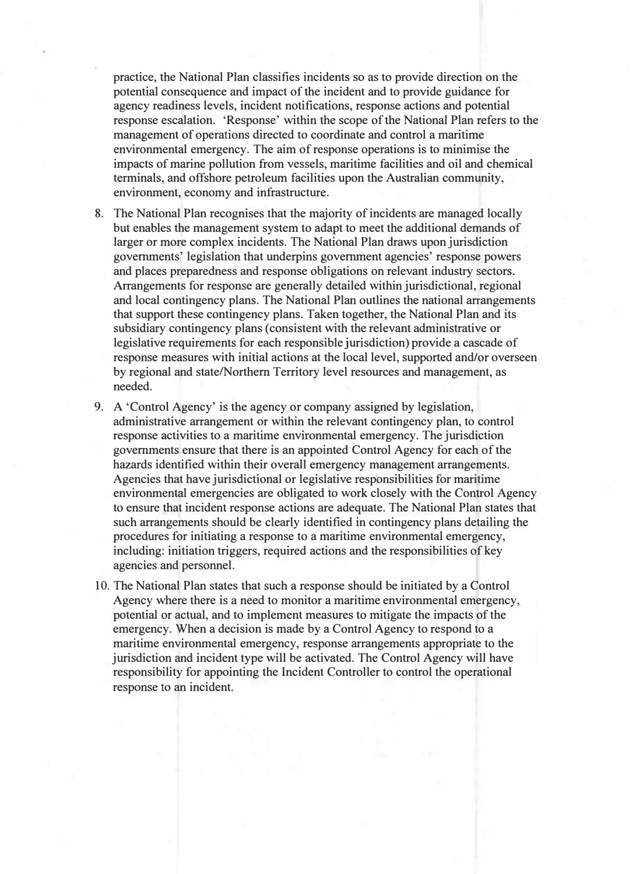practice, the National Plan classifies incidents so as to provide direction on the potential consequence and impact of the incident and to provide guidance for agency readiness levels, incident notifications, response actions and potential response escalation. 'Response' within the scope of the National Plan refers to the management of operations directed to coordinate and control a maritime environmental emergency. The aim of response operations is to minimise the impacts of marine pollution from vessels, maritime facilities and oil and chemical terminals, and offshore petroleum facilities upon the Australian community, environment, economy and infrastructure.

- 8. The National Plan recognises that the majority of incidents are managed locally but enables the management system to adapt to meet the additional demands of larger or more complex incidents. The National Plan draws upon jurisdiction governments' legislation that underpins government agencies' response powers and places preparedness and response obligations on relevant industry sectors. Arrangements for response are generally detailed within jurisdictional, regional and local contingency plans. The National Plan outlines the national arrangements that support these contingency plans. Taken together, the National Plan and its subsidiary contingency plans (consistent with the relevant administrative or legislative requirements for each responsible jurisdiction) provide a cascade of response measures with initial actions at the local level, supported and/or overseen by regional and state/Northern Territory level resources and management, as needed.
- 9. A 'Control Agency' is the agency or company assigned by legislation, administrative arrangement or within the relevant contingency plan, to control response activities to a maritime environmental emergency. The jurisdiction governments ensure that there is an appointed Control Agency for each of the hazards identified within their overall emergency management arrangements. Agencies that have jurisdictional or legislative responsibilities for maritime environmental emergencies are obligated to work closely with the Control Agency to ensure that incident response actions are adequate. The National Plan states that such arrangements should be clearly identified in contingency plans detailing the procedures for initiating a response to a maritime environmental emergency, including: initiation triggers, required actions and the responsibilities of key agencies and personnel.
- 10. The National Plan states that such a response should be initiated by a Control Agency where there is a need to monitor a maritime environmental emergency, potential or actual, and to implement measures to mitigate the impacts of the emergency. When a decision is made by a Control Agency to respond to a maritime environmental emergency, response arrangements appropriate to the jurisdiction and incident type will be activated. The Control Agency will have responsibility for appointing the Incident Controller to control the operational response to an incident.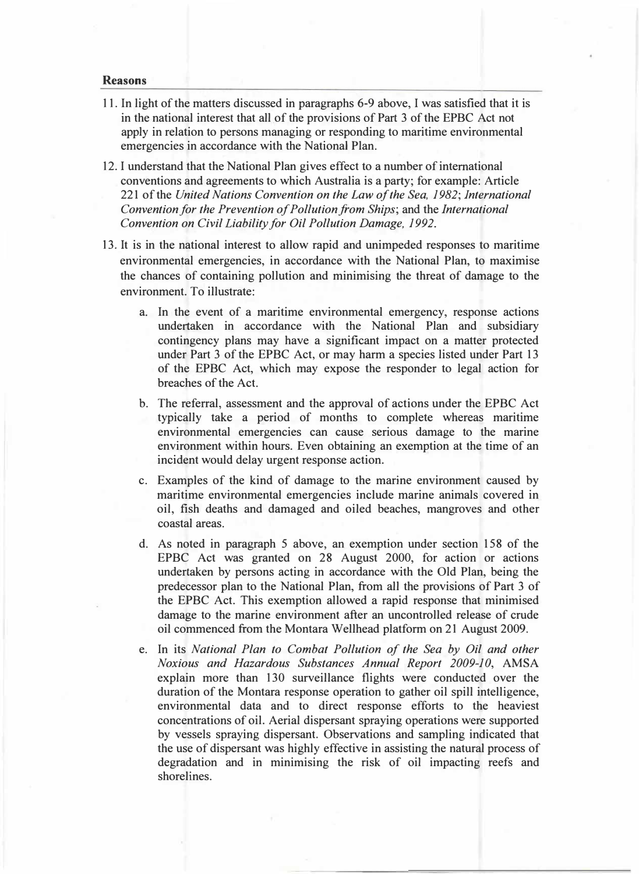#### Reasons

- 11. In light of the matters discussed in paragraphs 6-9 above, I was satisfied that it is in the national interest that all of the provisions of Part 3 of the EPBC Act not apply in relation to persons managing or responding to maritime environmental emergencies in accordance with the National Plan.
- 12. I understand that the National Plan gives effect to a number of intemational conventions and agreements to which Australia is a party; for example: Article 221 of the United Nations Convention on the Law of the Sea, 1982; International Convention for the Prevention of Pollution from Ships; and the International Convention on Civil Liability for Oil Pollution Damage, 1992.
- 13. It is in the national interest to allow rapid and unimpeded responses to maritime environmental emergencies, in accordance with the National Plan, to maximise the chances of containing pollution and minimising the threat of damage to the environment. To illustrate:
	- a. In the event of a maritime environmental emergency, response actions undertaken in accordance with the National Plan and subsidiary contingency plans may have a significant impact on a matter protected under Part 3 of the EPBC Act, or may harm a species listed under Part 13 of the EPBC Act, which may expose the responder to legal action for breaches of the Act.
	- b. The referral, assessment and the approval of actions under the EPBC Act typically take a period of months to complete whereas maritime environmental emergencies can cause serious damage to the marine environment within hours. Even obtaining an exemption at the time of an incident would delay urgent response action.
	- c. Examples of the kind of damage to the marine environment caused by maritime environmental emergencies include marine animals covered in oil, fish deaths and damaged and oiled beaches, mangroves and other coastal areas.
	- d. As noted in paragraph 5 above, an exemption under section 158 of the EPBC Act was granted on 28 August 2000, for action or actions undertaken by persons acting in accordance with the Old Plan, being the predecessor plan to the National Plan, from all the provisions of Part 3 of the EPBC Act. This exemption allowed a rapid response that minimised damage to the marine environment after an uncontrolled release of crude oil commenced from the Montara Wellhead platform on 21 August 2009.
	- e. In its National Plan to Combat Pollution of the Sea by Oil and other Noxious and Hazardous Substances Annual Report 2009-10, AMSA explain more than 130 surveillance flights were conducted over the duration of the Montara response operation to gather oil spill intelligence, environmental data and to direct response efforts to the heaviest concentrations of oil. Aerial dispersant spraying operations were supported by vessels spraying dispersant. Observations and sampling indicated that the use of dispersant was highly effective in assisting the natural process of degradation and in minimising the risk of oil impacting reefs and shorelines.